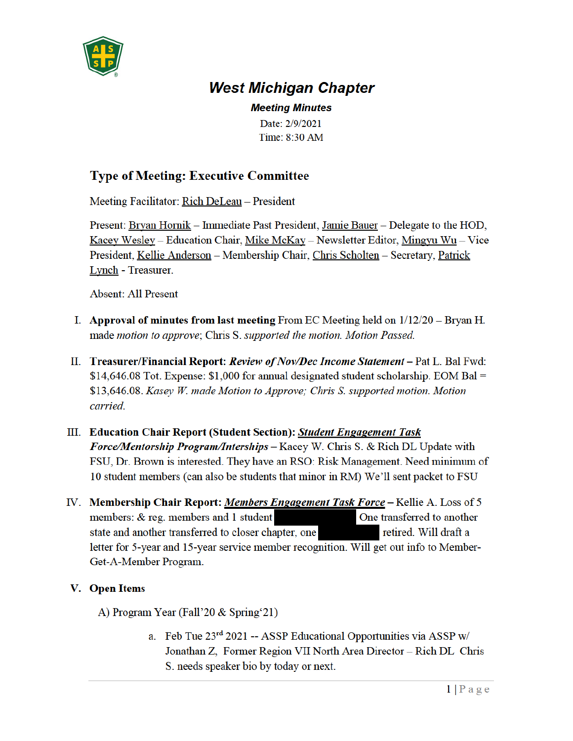

## **West Michigan Chapter**

**Meeting Minutes** Date: 2/9/2021 Time: 8:30 AM

## **Type of Meeting: Executive Committee**

Meeting Facilitator: Rich DeLeau - President

Present: Bryan Hornik – Immediate Past President, Jamie Bauer – Delegate to the HOD, Kacey Wesley – Education Chair, Mike McKay – Newsletter Editor, Mingyu Wu – Vice President, Kellie Anderson - Membership Chair, Chris Scholten - Secretary, Patrick **Lynch** - Treasurer.

**Absent: All Present** 

- I. Approval of minutes from last meeting From EC Meeting held on  $1/12/20$  Bryan H. made motion to approve; Chris S. supported the motion. Motion Passed.
- II. Treasurer/Financial Report: Review of Nov/Dec Income Statement Pat L. Bal Fwd:  $$14,646.08$  Tot. Expense:  $$1,000$  for annual designated student scholarship. EOM Bal = \$13,646.08. Kasey W. made Motion to Approve; Chris S. supported motion. Motion carried.
- III. Education Chair Report (Student Section): Student Engagement Task **Force/Mentorship Program/Interships – Kacey W. Chris S. & Rich DL Update with** FSU, Dr. Brown is interested. They have an RSO: Risk Management. Need minimum of 10 student members (can also be students that minor in RM) We'll sent packet to FSU
- IV. Membership Chair Report: Members Engagement Task Force Kellie A. Loss of 5 members: & reg. members and 1 student One transferred to another state and another transferred to closer chapter, one retired. Will draft a letter for 5-year and 15-year service member recognition. Will get out info to Member-Get-A-Member Program.

## V. Open Items

A) Program Year (Fall'20 & Spring'21)

a. Feb Tue  $23^{rd}$  2021 -- ASSP Educational Opportunities via ASSP w/ Jonathan Z, Former Region VII North Area Director - Rich DL Chris S. needs speaker bio by today or next.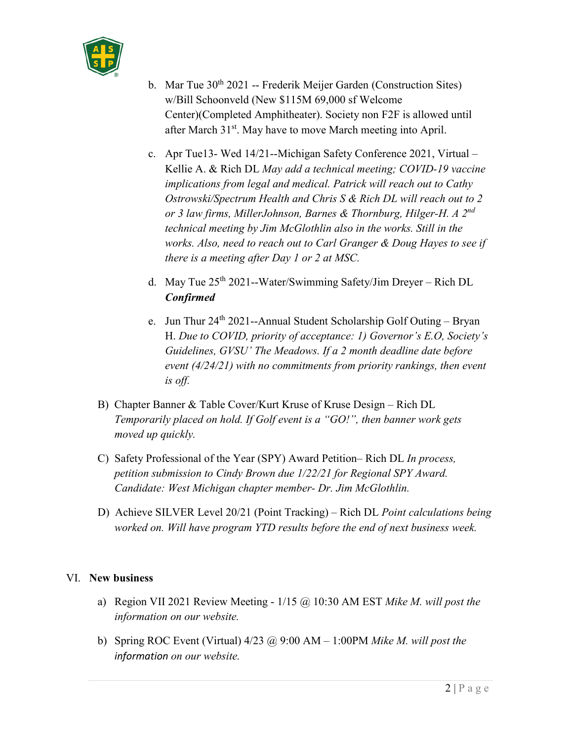

- b. Mar Tue  $30<sup>th</sup> 2021$  -- Frederik Meijer Garden (Construction Sites) w/Bill Schoonveld (New \$115M 69,000 sf Welcome Center)(Completed Amphitheater). Society non F2F is allowed until after March 31st. May have to move March meeting into April.
- c. Apr Tue13- Wed 14/21--Michigan Safety Conference 2021, Virtual Kellie A. & Rich DL *May add a technical meeting; COVID-19 vaccine implications from legal and medical. Patrick will reach out to Cathy Ostrowski/Spectrum Health and Chris S & Rich DL will reach out to 2 or 3 law firms, MillerJohnson, Barnes & Thornburg, Hilger-H. A 2nd technical meeting by Jim McGlothlin also in the works. Still in the works. Also, need to reach out to Carl Granger & Doug Hayes to see if there is a meeting after Day 1 or 2 at MSC.*
- d. May Tue 25th 2021--Water/Swimming Safety/Jim Dreyer Rich DL *Confirmed*
- e. Jun Thur  $24^{th}$  2021--Annual Student Scholarship Golf Outing Bryan H. *Due to COVID, priority of acceptance: 1) Governor's E.O, Society's Guidelines, GVSU' The Meadows. If a 2 month deadline date before event (4/24/21) with no commitments from priority rankings, then event is off.*
- B) Chapter Banner & Table Cover/Kurt Kruse of Kruse Design Rich DL *Temporarily placed on hold. If Golf event is a "GO!", then banner work gets moved up quickly.*
- C) Safety Professional of the Year (SPY) Award Petition– Rich DL *In process, petition submission to Cindy Brown due 1/22/21 for Regional SPY Award. Candidate: West Michigan chapter member- Dr. Jim McGlothlin.*
- D) Achieve SILVER Level 20/21 (Point Tracking) Rich DL *Point calculations being worked on. Will have program YTD results before the end of next business week.*

## VI. **New business**

- a) Region VII 2021 Review Meeting 1/15 @ 10:30 AM EST *Mike M. will post the information on our website.*
- b) Spring ROC Event (Virtual) 4/23 @ 9:00 AM 1:00PM *Mike M. will post the information on our website.*